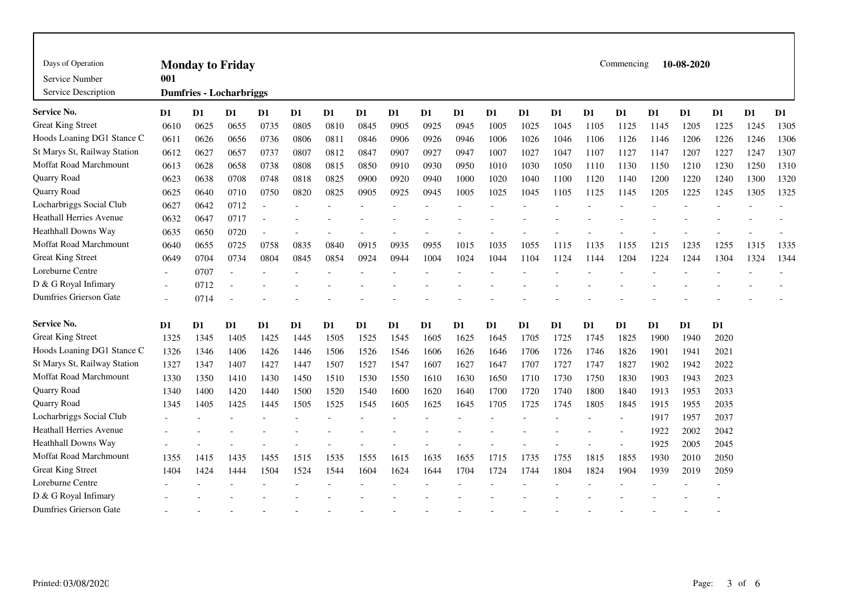| Days of Operation<br>Service Number<br>Service Description | Commencing<br>10-08-2020<br><b>Monday to Friday</b><br>001<br><b>Dumfries - Locharbriggs</b> |      |      |                |                |                |                |      |                |                |                |      |      |                |                |                |                |      |      |      |
|------------------------------------------------------------|----------------------------------------------------------------------------------------------|------|------|----------------|----------------|----------------|----------------|------|----------------|----------------|----------------|------|------|----------------|----------------|----------------|----------------|------|------|------|
| Service No.                                                | D <sub>1</sub>                                                                               | D1   | D1   | D <sub>1</sub> | D <sub>1</sub> | D <sub>1</sub> | D <sub>1</sub> | D1   | D <sub>1</sub> | D <sub>1</sub> | D <sub>1</sub> | D1   | D1   | D <sub>1</sub> | D <sub>1</sub> | D <sub>1</sub> | D <sub>1</sub> | D1   | D1   | D1   |
| <b>Great King Street</b>                                   | 0610                                                                                         | 0625 | 0655 | 0735           | 0805           | 0810           | 0845           | 0905 | 0925           | 0945           | 1005           | 1025 | 1045 | 1105           | 1125           | 1145           | 1205           | 1225 | 1245 | 1305 |
| Hoods Loaning DG1 Stance C                                 | 0611                                                                                         | 0626 | 0656 | 0736           | 0806           | 0811           | 0846           | 0906 | 0926           | 0946           | 1006           | 1026 | 1046 | 1106           | 1126           | 1146           | 1206           | 1226 | 1246 | 1306 |
| St Marys St, Railway Station                               | 0612                                                                                         | 0627 | 0657 | 0737           | 0807           | 0812           | 0847           | 0907 | 0927           | 0947           | 1007           | 1027 | 1047 | 1107           | 1127           | 1147           | 1207           | 1227 | 1247 | 1307 |
| Moffat Road Marchmount                                     | 0613                                                                                         | 0628 | 0658 | 0738           | 0808           | 0815           | 0850           | 0910 | 0930           | 0950           | 1010           | 1030 | 1050 | 1110           | 1130           | 1150           | 1210           | 1230 | 1250 | 1310 |
| Quarry Road                                                | 0623                                                                                         | 0638 | 0708 | 0748           | 0818           | 0825           | 0900           | 0920 | 0940           | 1000           | 1020           | 1040 | 1100 | 1120           | 1140           | 1200           | 1220           | 1240 | 1300 | 1320 |
| Quarry Road                                                | 0625                                                                                         | 0640 | 0710 | 0750           | 0820           | 0825           | 0905           | 0925 | 0945           | 1005           | 1025           | 1045 | 1105 | 1125           | 1145           | 1205           | 1225           | 1245 | 1305 | 1325 |
| Locharbriggs Social Club                                   | 0627                                                                                         | 0642 | 0712 |                |                |                |                |      |                |                |                |      |      |                |                |                |                |      |      |      |
| Heathall Herries Avenue                                    | 0632                                                                                         | 0647 | 0717 |                |                |                |                |      |                |                |                |      |      |                |                |                |                |      |      |      |
| <b>Heathhall Downs Way</b>                                 | 0635                                                                                         | 0650 | 0720 |                |                |                |                |      |                |                |                |      |      |                |                |                |                |      |      |      |
| <b>Moffat Road Marchmount</b>                              | 0640                                                                                         | 0655 | 0725 | 0758           | 0835           | 0840           | 0915           | 0935 | 0955           | 1015           | 1035           | 1055 | 1115 | 1135           | 1155           | 1215           | 1235           | 1255 | 1315 | 1335 |
| <b>Great King Street</b>                                   | 0649                                                                                         | 0704 | 0734 | 0804           | 0845           | 0854           | 0924           | 0944 | 1004           | 1024           | 1044           | 1104 | 1124 | 1144           | 1204           | 1224           | 1244           | 1304 | 1324 | 1344 |
| Loreburne Centre                                           |                                                                                              | 0707 |      |                |                |                |                |      |                |                |                |      |      |                |                |                |                |      |      |      |
| D & G Royal Infimary                                       |                                                                                              | 0712 |      |                |                |                |                |      |                |                |                |      |      |                |                |                |                |      |      |      |
| Dumfries Grierson Gate                                     |                                                                                              | 0714 |      |                |                |                |                |      |                |                |                |      |      |                |                |                |                |      |      |      |
| <b>Service No.</b>                                         | D <sub>1</sub>                                                                               | D1   | D1   | D1             | D1             | D <sub>1</sub> | D <sub>1</sub> | D1   | D1             | D1             | D1             | D1   | D1   | D <sub>1</sub> | D1             | D1             | D <sub>1</sub> | D1   |      |      |
| <b>Great King Street</b>                                   | 1325                                                                                         | 1345 | 1405 | 1425           | 1445           | 1505           | 1525           | 1545 | 1605           | 1625           | 1645           | 1705 | 1725 | 1745           | 1825           | 1900           | 1940           | 2020 |      |      |
| Hoods Loaning DG1 Stance C                                 | 1326                                                                                         | 1346 | 1406 | 1426           | 1446           | 1506           | 1526           | 1546 | 1606           | 1626           | 1646           | 1706 | 1726 | 1746           | 1826           | 1901           | 1941           | 2021 |      |      |
| St Marys St, Railway Station                               | 1327                                                                                         | 1347 | 1407 | 1427           | 1447           | 1507           | 1527           | 1547 | 1607           | 1627           | 1647           | 1707 | 1727 | 1747           | 1827           | 1902           | 1942           | 2022 |      |      |
| Moffat Road Marchmount                                     | 1330                                                                                         | 1350 | 1410 | 1430           | 1450           | 1510           | 1530           | 1550 | 1610           | 1630           | 1650           | 1710 | 1730 | 1750           | 1830           | 1903           | 1943           | 2023 |      |      |
| Quarry Road                                                | 1340                                                                                         | 1400 | 1420 | 1440           | 1500           | 1520           | 1540           | 1600 | 1620           | 1640           | 1700           | 1720 | 1740 | 1800           | 1840           | 1913           | 1953           | 2033 |      |      |
| Quarry Road                                                | 1345                                                                                         | 1405 | 1425 | 1445           | 1505           | 1525           | 1545           | 1605 | 1625           | 1645           | 1705           | 1725 | 1745 | 1805           | 1845           | 1915           | 1955           | 2035 |      |      |
| Locharbriggs Social Club                                   |                                                                                              |      |      |                |                |                |                |      |                |                |                |      |      |                |                | 1917           | 1957           | 2037 |      |      |
| Heathall Herries Avenue                                    |                                                                                              |      |      |                |                |                |                |      |                |                |                |      |      |                |                | 1922           | 2002           | 2042 |      |      |
| Heathhall Downs Way                                        |                                                                                              |      |      |                |                |                |                |      |                |                |                |      |      |                |                | 1925           | 2005           | 2045 |      |      |
| <b>Moffat Road Marchmount</b>                              | 1355                                                                                         | 1415 | 1435 | 1455           | 1515           | 1535           | 1555           | 1615 | 1635           | 1655           | 1715           | 1735 | 1755 | 1815           | 1855           | 1930           | 2010           | 2050 |      |      |
| <b>Great King Street</b>                                   | 1404                                                                                         | 1424 | 1444 | 1504           | 1524           | 1544           | 1604           | 1624 | 1644           | 1704           | 1724           | 1744 | 1804 | 1824           | 1904           | 1939           | 2019           | 2059 |      |      |
| Loreburne Centre                                           |                                                                                              |      |      |                |                |                |                |      |                |                |                |      |      |                |                |                |                |      |      |      |
| D & G Royal Infimary                                       |                                                                                              |      |      |                |                |                |                |      |                |                |                |      |      |                |                |                |                |      |      |      |
| Dumfries Grierson Gate                                     |                                                                                              |      |      |                |                |                |                |      |                |                |                |      |      |                |                |                |                |      |      |      |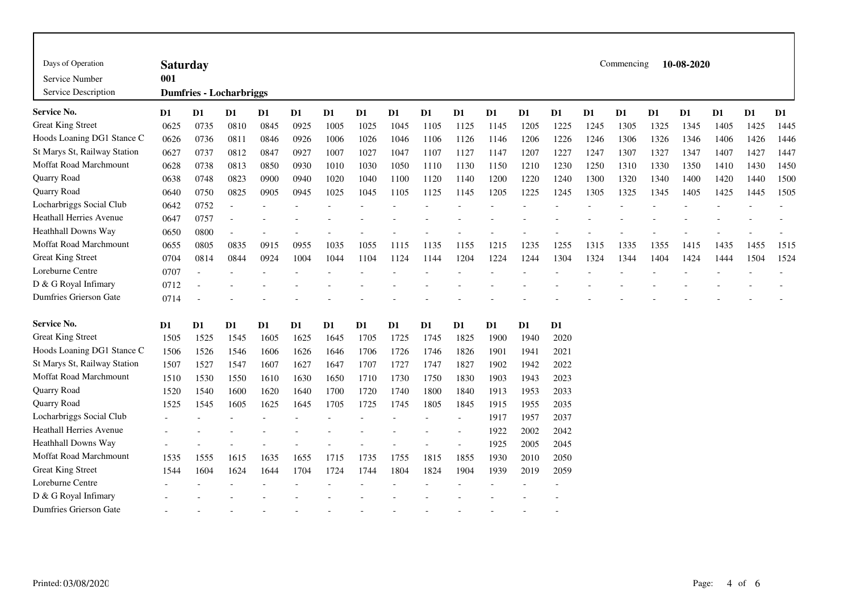| Days of Operation              | <b>Saturday</b>                |                |      |                |                |                |      |      |                |      |                |               |      |                | Commencing     |      | 10-08-2020     |      |      |      |
|--------------------------------|--------------------------------|----------------|------|----------------|----------------|----------------|------|------|----------------|------|----------------|---------------|------|----------------|----------------|------|----------------|------|------|------|
| Service Number                 | 001                            |                |      |                |                |                |      |      |                |      |                |               |      |                |                |      |                |      |      |      |
| Service Description            | <b>Dumfries - Locharbriggs</b> |                |      |                |                |                |      |      |                |      |                |               |      |                |                |      |                |      |      |      |
| <b>Service No.</b>             | D1                             | D <sub>1</sub> | D1   | D1             | D <sub>1</sub> | D1             | D1   | D1   | D <sub>1</sub> | D1   | D <sub>1</sub> | D1            | D1   | D <sub>1</sub> | D <sub>1</sub> | D1   | D <sub>1</sub> | D1   | D1   | D1   |
| <b>Great King Street</b>       | 0625                           | 0735           | 0810 | 0845           | 0925           | 1005           | 1025 | 1045 | 1105           | 1125 | 1145           | 1205          | 1225 | 1245           | 1305           | 1325 | 1345           | 1405 | 1425 | 1445 |
| Hoods Loaning DG1 Stance C     | 0626                           | 0736           | 0811 | 0846           | 0926           | 1006           | 1026 | 1046 | 1106           | 1126 | 1146           | 1206          | 1226 | 1246           | 1306           | 1326 | 1346           | 1406 | 1426 | 1446 |
| St Marys St, Railway Station   | 0627                           | 0737           | 0812 | 0847           | 0927           | 1007           | 1027 | 1047 | 1107           | 1127 | 1147           | 1207          | 1227 | 1247           | 1307           | 1327 | 1347           | 1407 | 1427 | 1447 |
| Moffat Road Marchmount         | 0628                           | 0738           | 0813 | 0850           | 0930           | 1010           | 1030 | 1050 | 1110           | 1130 | 1150           | 1210          | 1230 | 1250           | 1310           | 1330 | 1350           | 1410 | 1430 | 1450 |
| Quarry Road                    | 0638                           | 0748           | 0823 | 0900           | 0940           | 1020           | 1040 | 1100 | 1120           | 1140 | 1200           | 1220          | 1240 | 1300           | 1320           | 1340 | 1400           | 1420 | 1440 | 1500 |
| Quarry Road                    | 0640                           | 0750           | 0825 | 0905           | 0945           | 1025           | 1045 | 1105 | 1125           | 1145 | 1205           | 1225          | 1245 | 1305           | 1325           | 1345 | 1405           | 1425 | 1445 | 1505 |
| Locharbriggs Social Club       | 0642                           | 0752           |      |                |                |                |      |      |                |      |                |               |      |                |                |      |                |      |      |      |
| <b>Heathall Herries Avenue</b> | 0647                           | 0757           |      |                |                |                |      |      |                |      |                |               |      |                |                |      |                |      |      |      |
| Heathhall Downs Way            | 0650                           | 0800           |      |                |                |                |      |      |                |      |                |               |      |                |                |      |                |      |      |      |
| Moffat Road Marchmount         | 0655                           | 0805           | 0835 | 0915           | 0955           | 1035           | 1055 | 1115 | 1135           | 1155 | 1215           | 1235          | 1255 | 1315           | 1335           | 1355 | 1415           | 1435 | 1455 | 1515 |
| <b>Great King Street</b>       | 0704                           | 0814           | 0844 | 0924           | 1004           | 1044           | 1104 | 1124 | 1144           | 1204 | 1224           | 1244          | 1304 | 1324           | 1344           | 1404 | 1424           | 1444 | 1504 | 1524 |
| Loreburne Centre               | 0707                           |                |      |                |                |                |      |      |                |      |                |               |      |                |                |      |                |      |      |      |
| D & G Royal Infimary           | 0712                           |                |      |                |                |                |      |      |                |      |                |               |      |                |                |      |                |      |      |      |
| Dumfries Grierson Gate         | 0714                           |                |      |                |                |                |      |      |                |      |                |               |      |                |                |      |                |      |      |      |
| <b>Service No.</b>             | D1                             | $\mathbf{D1}$  | D1   | D <sub>1</sub> | $\mathbf{D}1$  | D <sub>1</sub> | D1   | D1   | D <sub>1</sub> | D1   | D <sub>1</sub> | $\mathbf{D}1$ | D1   |                |                |      |                |      |      |      |
| <b>Great King Street</b>       | 1505                           | 1525           | 1545 | 1605           | 1625           | 1645           | 1705 | 1725 | 1745           | 1825 | 1900           | 1940          | 2020 |                |                |      |                |      |      |      |
| Hoods Loaning DG1 Stance C     | 1506                           | 1526           | 1546 | 1606           | 1626           | 1646           | 1706 | 1726 | 1746           | 1826 | 1901           | 1941          | 2021 |                |                |      |                |      |      |      |
| St Marys St, Railway Station   | 1507                           | 1527           | 1547 | 1607           | 1627           | 1647           | 1707 | 1727 | 1747           | 1827 | 1902           | 1942          | 2022 |                |                |      |                |      |      |      |
| Moffat Road Marchmount         | 1510                           | 1530           | 1550 | 1610           | 1630           | 1650           | 1710 | 1730 | 1750           | 1830 | 1903           | 1943          | 2023 |                |                |      |                |      |      |      |
| Quarry Road                    | 1520                           | 1540           | 1600 | 1620           | 1640           | 1700           | 1720 | 1740 | 1800           | 1840 | 1913           | 1953          | 2033 |                |                |      |                |      |      |      |
| Quarry Road                    | 1525                           | 1545           | 1605 | 1625           | 1645           | 1705           | 1725 | 1745 | 1805           | 1845 | 1915           | 1955          | 2035 |                |                |      |                |      |      |      |
| Locharbriggs Social Club       |                                |                |      |                |                |                |      |      |                |      | 1917           | 1957          | 2037 |                |                |      |                |      |      |      |
| <b>Heathall Herries Avenue</b> |                                |                |      |                |                |                |      |      |                |      | 1922           | 2002          | 2042 |                |                |      |                |      |      |      |
| Heathhall Downs Way            |                                |                |      |                |                |                |      |      |                |      | 1925           | 2005          | 2045 |                |                |      |                |      |      |      |
| Moffat Road Marchmount         | 1535                           | 1555           | 1615 | 1635           | 1655           | 1715           | 1735 | 1755 | 1815           | 1855 | 1930           | 2010          | 2050 |                |                |      |                |      |      |      |
| <b>Great King Street</b>       | 1544                           | 1604           | 1624 | 1644           | 1704           | 1724           | 1744 | 1804 | 1824           | 1904 | 1939           | 2019          | 2059 |                |                |      |                |      |      |      |
| Loreburne Centre               |                                |                |      |                |                |                |      |      |                |      |                |               |      |                |                |      |                |      |      |      |
| D & G Royal Infimary           |                                |                |      |                |                |                |      |      |                |      |                |               |      |                |                |      |                |      |      |      |
| <b>Dumfries Grierson Gate</b>  |                                |                |      |                |                |                |      |      |                |      |                |               |      |                |                |      |                |      |      |      |